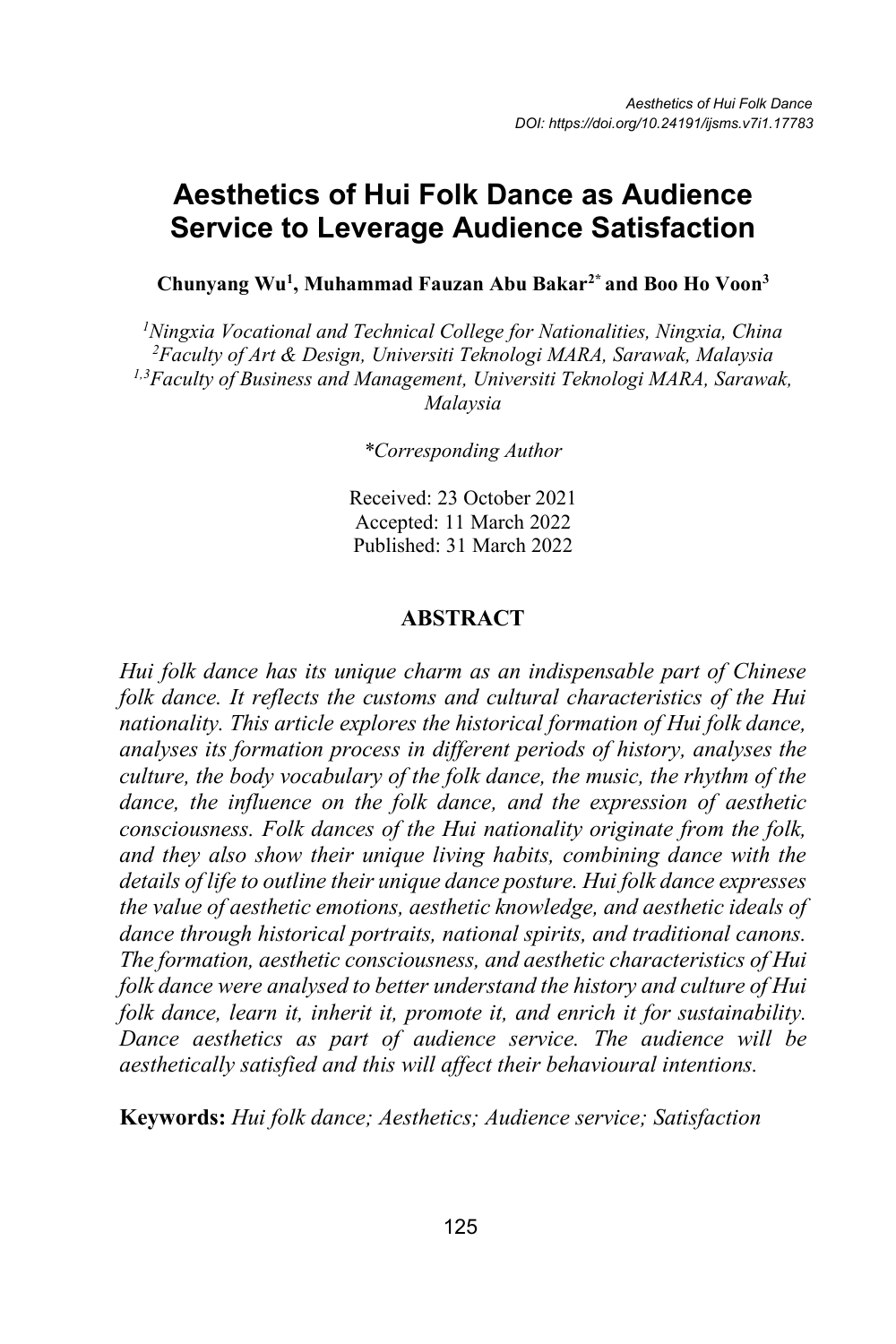# **Aesthetics of Hui Folk Dance as Audience Service to Leverage Audience Satisfaction**

**Chunyang Wu1 , Muhammad Fauzan Abu Bakar2\* and Boo Ho Voon3**

*1 Ningxia Vocational and Technical College for Nationalities, Ningxia, China 2 Faculty of Art & Design, Universiti Teknologi MARA, Sarawak, Malaysia 1,3 Faculty of Business and Management, Universiti Teknologi MARA, Sarawak, Malaysia*

*\*Corresponding Author* 

Received: 23 October 2021 Accepted: 11 March 2022 Published: 31 March 2022

#### **ABSTRACT**

*Hui folk dance has its unique charm as an indispensable part of Chinese folk dance. It reflects the customs and cultural characteristics of the Hui nationality. This article explores the historical formation of Hui folk dance, analyses its formation process in different periods of history, analyses the culture, the body vocabulary of the folk dance, the music, the rhythm of the dance, the influence on the folk dance, and the expression of aesthetic consciousness. Folk dances of the Hui nationality originate from the folk, and they also show their unique living habits, combining dance with the details of life to outline their unique dance posture. Hui folk dance expresses the value of aesthetic emotions, aesthetic knowledge, and aesthetic ideals of dance through historical portraits, national spirits, and traditional canons. The formation, aesthetic consciousness, and aesthetic characteristics of Hui folk dance were analysed to better understand the history and culture of Hui folk dance, learn it, inherit it, promote it, and enrich it for sustainability. Dance aesthetics as part of audience service. The audience will be aesthetically satisfied and this will affect their behavioural intentions.* 

**Keywords:** *Hui folk dance; Aesthetics; Audience service; Satisfaction*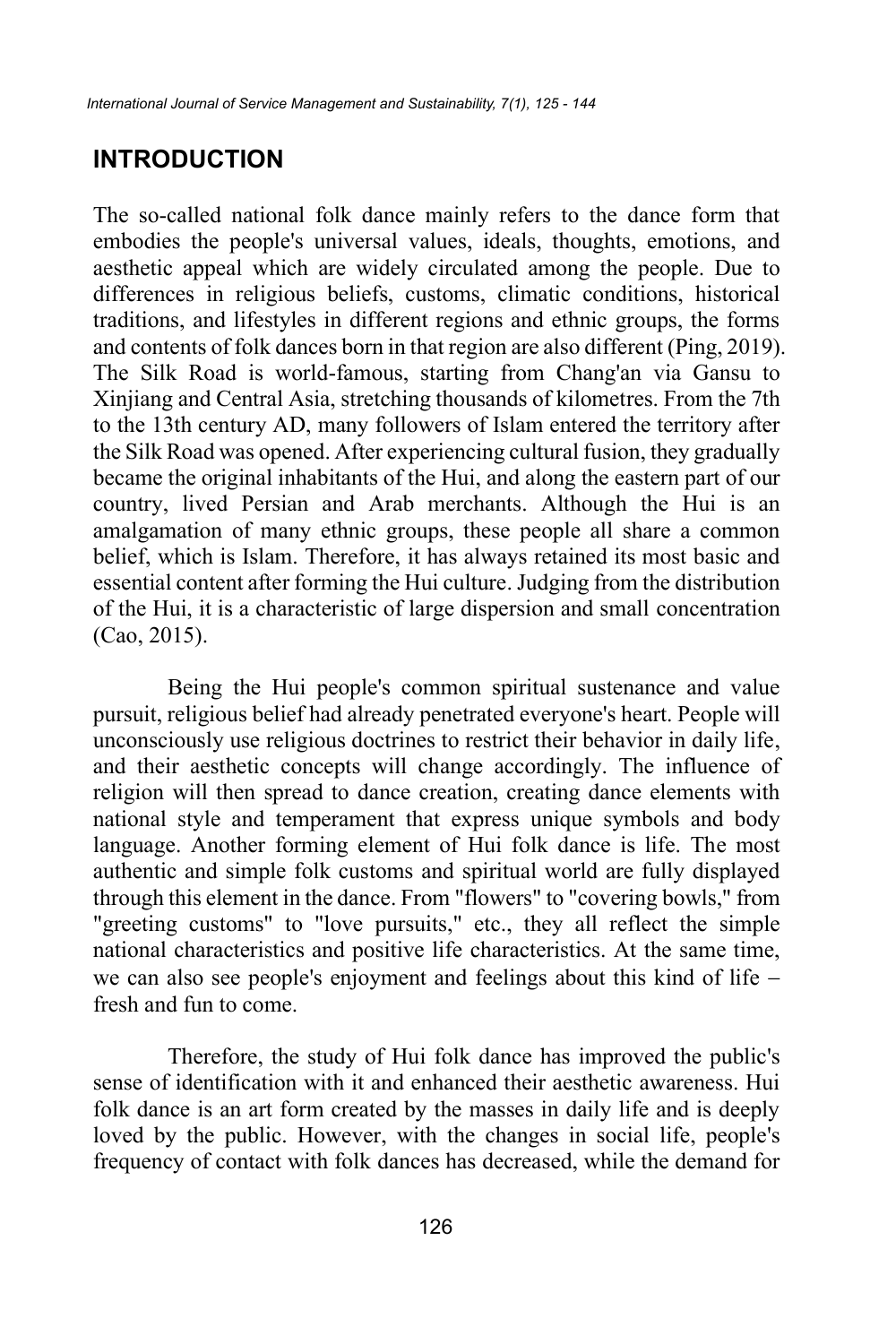## **INTRODUCTION**

The so-called national folk dance mainly refers to the dance form that embodies the people's universal values, ideals, thoughts, emotions, and aesthetic appeal which are widely circulated among the people. Due to differences in religious beliefs, customs, climatic conditions, historical traditions, and lifestyles in different regions and ethnic groups, the forms and contents of folk dances born in that region are also different (Ping, 2019). The Silk Road is world-famous, starting from Chang'an via Gansu to Xinjiang and Central Asia, stretching thousands of kilometres. From the 7th to the 13th century AD, many followers of Islam entered the territory after the Silk Road was opened. After experiencing cultural fusion, they gradually became the original inhabitants of the Hui, and along the eastern part of our country, lived Persian and Arab merchants. Although the Hui is an amalgamation of many ethnic groups, these people all share a common belief, which is Islam. Therefore, it has always retained its most basic and essential content after forming the Hui culture. Judging from the distribution of the Hui, it is a characteristic of large dispersion and small concentration (Cao, 2015).

Being the Hui people's common spiritual sustenance and value pursuit, religious belief had already penetrated everyone's heart. People will unconsciously use religious doctrines to restrict their behavior in daily life, and their aesthetic concepts will change accordingly. The influence of religion will then spread to dance creation, creating dance elements with national style and temperament that express unique symbols and body language. Another forming element of Hui folk dance is life. The most authentic and simple folk customs and spiritual world are fully displayed through this element in the dance. From "flowers" to "covering bowls," from "greeting customs" to "love pursuits," etc., they all reflect the simple national characteristics and positive life characteristics. At the same time, we can also see people's enjoyment and feelings about this kind of life − fresh and fun to come.

Therefore, the study of Hui folk dance has improved the public's sense of identification with it and enhanced their aesthetic awareness. Hui folk dance is an art form created by the masses in daily life and is deeply loved by the public. However, with the changes in social life, people's frequency of contact with folk dances has decreased, while the demand for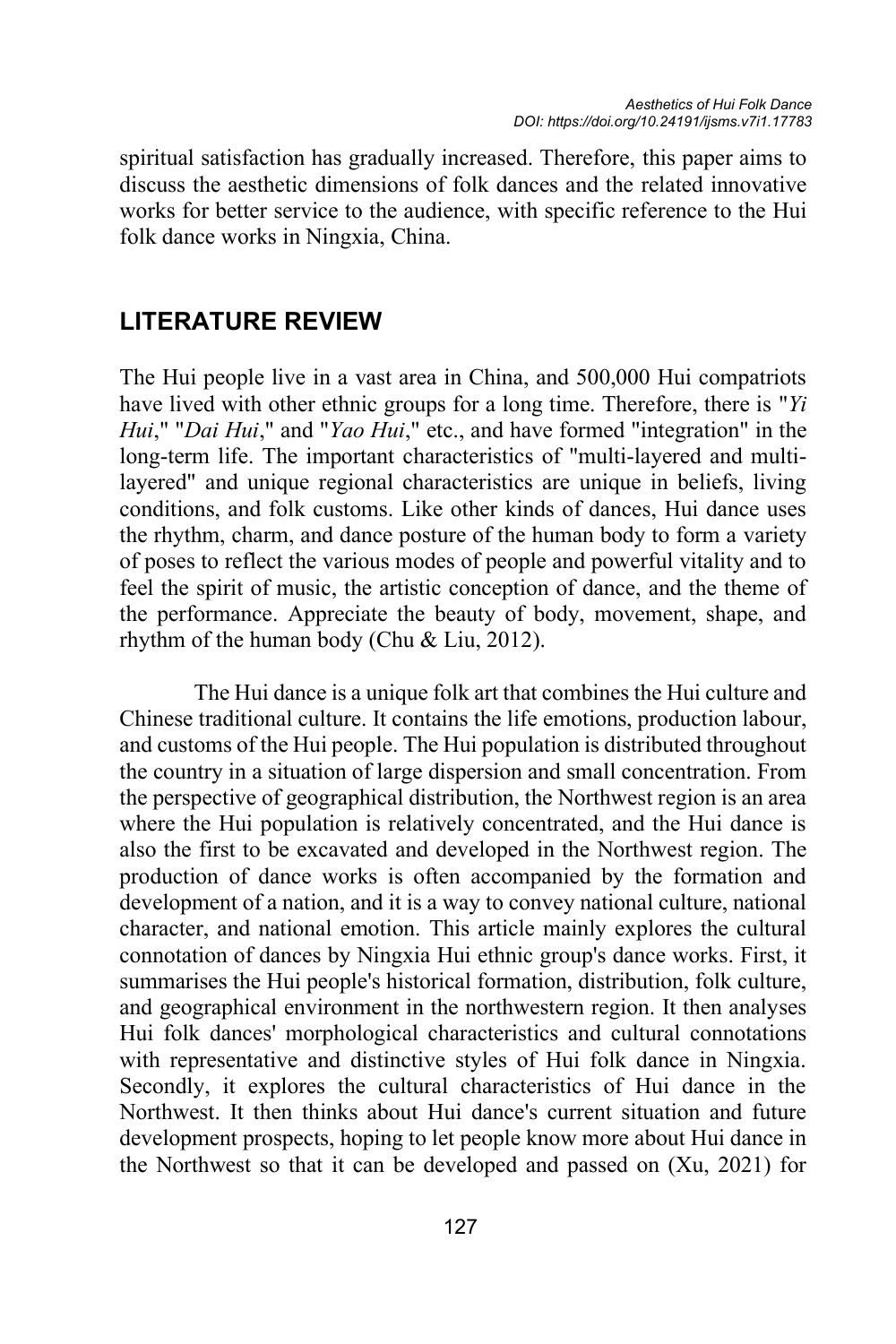spiritual satisfaction has gradually increased. Therefore, this paper aims to discuss the aesthetic dimensions of folk dances and the related innovative works for better service to the audience, with specific reference to the Hui folk dance works in Ningxia, China.

## **LITERATURE REVIEW**

The Hui people live in a vast area in China, and 500,000 Hui compatriots have lived with other ethnic groups for a long time. Therefore, there is "*Yi Hui*," "*Dai Hui*," and "*Yao Hui*," etc., and have formed "integration" in the long-term life. The important characteristics of "multi-layered and multilayered" and unique regional characteristics are unique in beliefs, living conditions, and folk customs. Like other kinds of dances, Hui dance uses the rhythm, charm, and dance posture of the human body to form a variety of poses to reflect the various modes of people and powerful vitality and to feel the spirit of music, the artistic conception of dance, and the theme of the performance. Appreciate the beauty of body, movement, shape, and rhythm of the human body (Chu & Liu, 2012).

The Hui dance is a unique folk art that combines the Hui culture and Chinese traditional culture. It contains the life emotions, production labour, and customs of the Hui people. The Hui population is distributed throughout the country in a situation of large dispersion and small concentration. From the perspective of geographical distribution, the Northwest region is an area where the Hui population is relatively concentrated, and the Hui dance is also the first to be excavated and developed in the Northwest region. The production of dance works is often accompanied by the formation and development of a nation, and it is a way to convey national culture, national character, and national emotion. This article mainly explores the cultural connotation of dances by Ningxia Hui ethnic group's dance works. First, it summarises the Hui people's historical formation, distribution, folk culture, and geographical environment in the northwestern region. It then analyses Hui folk dances' morphological characteristics and cultural connotations with representative and distinctive styles of Hui folk dance in Ningxia. Secondly, it explores the cultural characteristics of Hui dance in the Northwest. It then thinks about Hui dance's current situation and future development prospects, hoping to let people know more about Hui dance in the Northwest so that it can be developed and passed on (Xu, 2021) for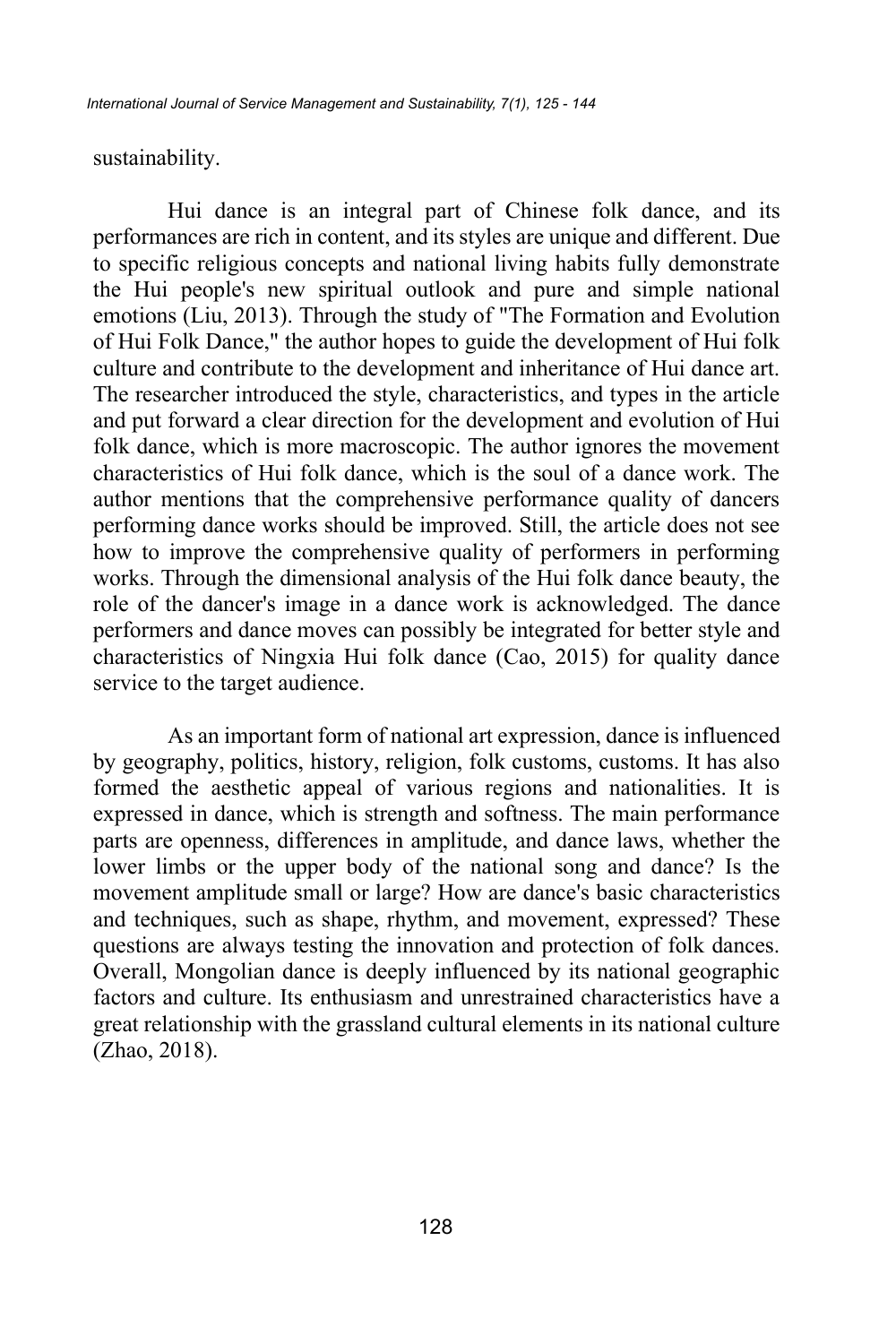sustainability.

Hui dance is an integral part of Chinese folk dance, and its performances are rich in content, and its styles are unique and different. Due to specific religious concepts and national living habits fully demonstrate the Hui people's new spiritual outlook and pure and simple national emotions (Liu, 2013). Through the study of "The Formation and Evolution of Hui Folk Dance," the author hopes to guide the development of Hui folk culture and contribute to the development and inheritance of Hui dance art. The researcher introduced the style, characteristics, and types in the article and put forward a clear direction for the development and evolution of Hui folk dance, which is more macroscopic. The author ignores the movement characteristics of Hui folk dance, which is the soul of a dance work. The author mentions that the comprehensive performance quality of dancers performing dance works should be improved. Still, the article does not see how to improve the comprehensive quality of performers in performing works. Through the dimensional analysis of the Hui folk dance beauty, the role of the dancer's image in a dance work is acknowledged. The dance performers and dance moves can possibly be integrated for better style and characteristics of Ningxia Hui folk dance (Cao, 2015) for quality dance service to the target audience.

As an important form of national art expression, dance is influenced by geography, politics, history, religion, folk customs, customs. It has also formed the aesthetic appeal of various regions and nationalities. It is expressed in dance, which is strength and softness. The main performance parts are openness, differences in amplitude, and dance laws, whether the lower limbs or the upper body of the national song and dance? Is the movement amplitude small or large? How are dance's basic characteristics and techniques, such as shape, rhythm, and movement, expressed? These questions are always testing the innovation and protection of folk dances. Overall, Mongolian dance is deeply influenced by its national geographic factors and culture. Its enthusiasm and unrestrained characteristics have a great relationship with the grassland cultural elements in its national culture (Zhao, 2018).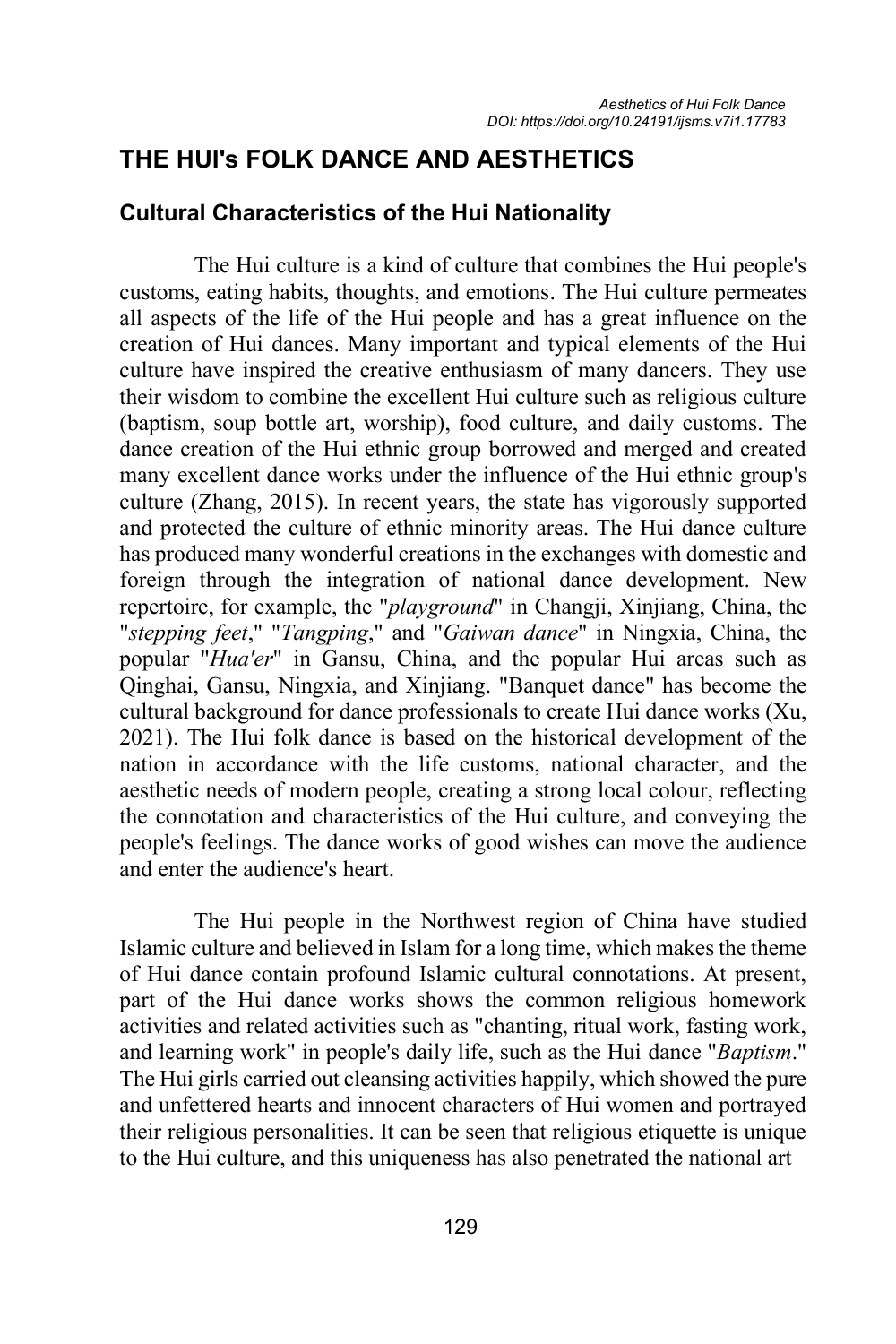## **THE HUI's FOLK DANCE AND AESTHETICS**

### **Cultural Characteristics of the Hui Nationality**

The Hui culture is a kind of culture that combines the Hui people's customs, eating habits, thoughts, and emotions. The Hui culture permeates all aspects of the life of the Hui people and has a great influence on the creation of Hui dances. Many important and typical elements of the Hui culture have inspired the creative enthusiasm of many dancers. They use their wisdom to combine the excellent Hui culture such as religious culture (baptism, soup bottle art, worship), food culture, and daily customs. The dance creation of the Hui ethnic group borrowed and merged and created many excellent dance works under the influence of the Hui ethnic group's culture (Zhang, 2015). In recent years, the state has vigorously supported and protected the culture of ethnic minority areas. The Hui dance culture has produced many wonderful creations in the exchanges with domestic and foreign through the integration of national dance development. New repertoire, for example, the "*playground*" in Changji, Xinjiang, China, the "*stepping feet*," "*Tangping*," and "*Gaiwan dance*" in Ningxia, China, the popular "*Hua'er*" in Gansu, China, and the popular Hui areas such as Qinghai, Gansu, Ningxia, and Xinjiang. "Banquet dance" has become the cultural background for dance professionals to create Hui dance works (Xu, 2021). The Hui folk dance is based on the historical development of the nation in accordance with the life customs, national character, and the aesthetic needs of modern people, creating a strong local colour, reflecting the connotation and characteristics of the Hui culture, and conveying the people's feelings. The dance works of good wishes can move the audience and enter the audience's heart.

The Hui people in the Northwest region of China have studied Islamic culture and believed in Islam for a long time, which makes the theme of Hui dance contain profound Islamic cultural connotations. At present, part of the Hui dance works shows the common religious homework activities and related activities such as "chanting, ritual work, fasting work, and learning work" in people's daily life, such as the Hui dance "*Baptism*." The Hui girls carried out cleansing activities happily, which showed the pure and unfettered hearts and innocent characters of Hui women and portrayed their religious personalities. It can be seen that religious etiquette is unique to the Hui culture, and this uniqueness has also penetrated the national art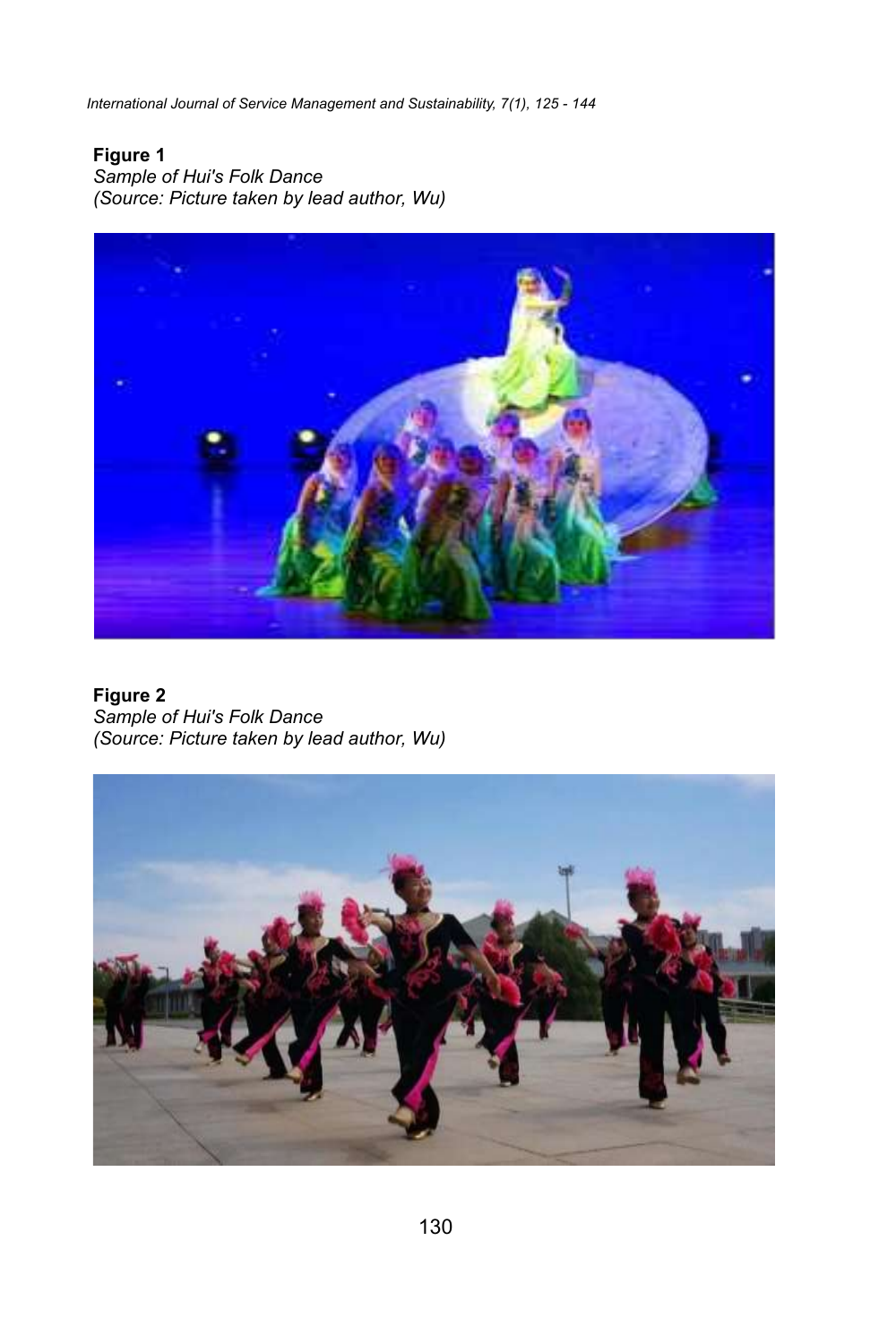*International Journal of Service Management and Sustainability, 7(1), 125 - 144*

### **Figure 1**

*Sample of Hui's Folk Dance (Source: Picture taken by lead author, Wu)*



**Figure 2** *Sample of Hui's Folk Dance (Source: Picture taken by lead author, Wu)*

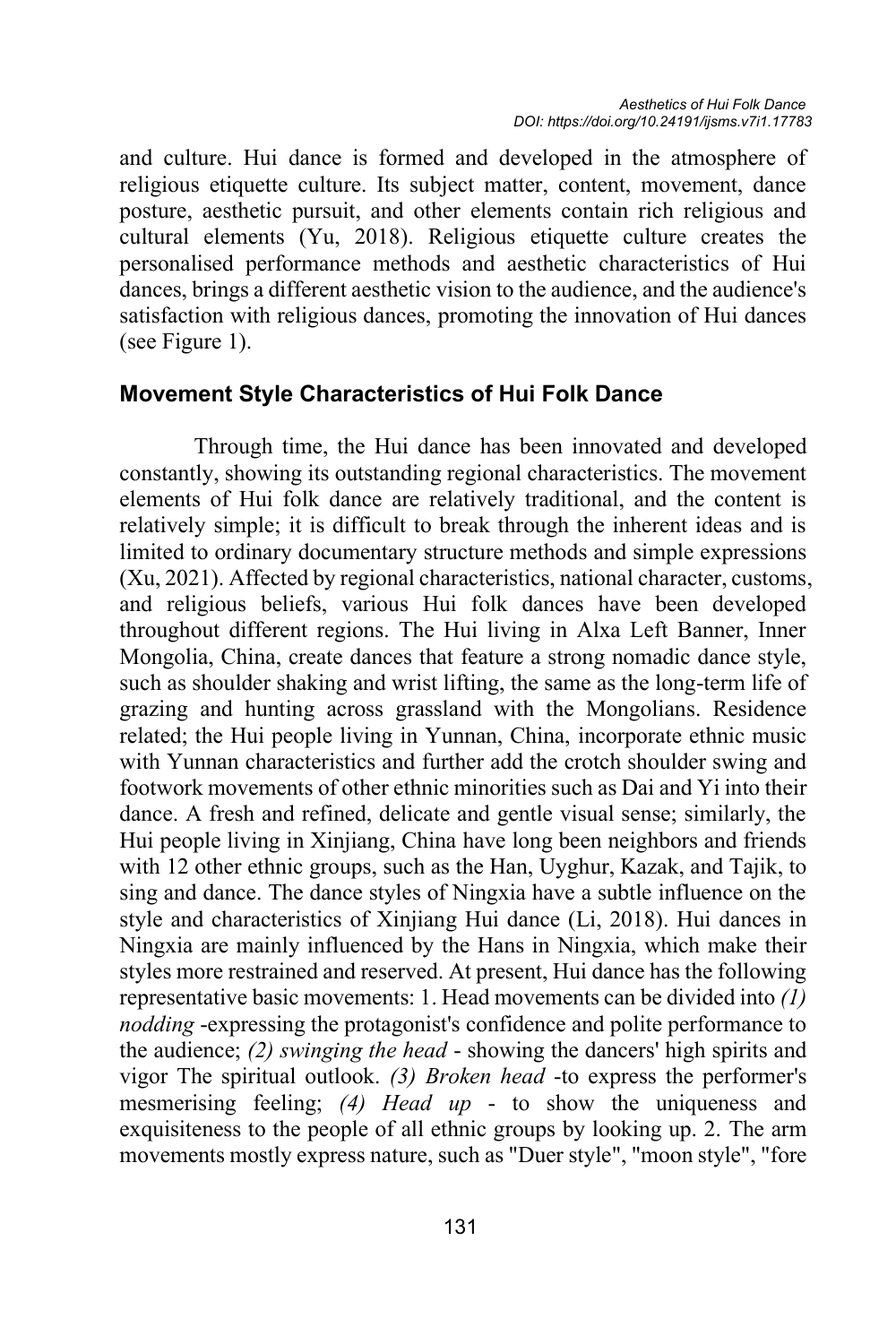and culture. Hui dance is formed and developed in the atmosphere of religious etiquette culture. Its subject matter, content, movement, dance posture, aesthetic pursuit, and other elements contain rich religious and cultural elements (Yu, 2018). Religious etiquette culture creates the personalised performance methods and aesthetic characteristics of Hui dances, brings a different aesthetic vision to the audience, and the audience's satisfaction with religious dances, promoting the innovation of Hui dances (see Figure 1).

#### **Movement Style Characteristics of Hui Folk Dance**

Through time, the Hui dance has been innovated and developed constantly, showing its outstanding regional characteristics. The movement elements of Hui folk dance are relatively traditional, and the content is relatively simple; it is difficult to break through the inherent ideas and is limited to ordinary documentary structure methods and simple expressions (Xu, 2021). Affected by regional characteristics, national character, customs, and religious beliefs, various Hui folk dances have been developed throughout different regions. The Hui living in Alxa Left Banner, Inner Mongolia, China, create dances that feature a strong nomadic dance style, such as shoulder shaking and wrist lifting, the same as the long-term life of grazing and hunting across grassland with the Mongolians. Residence related; the Hui people living in Yunnan, China, incorporate ethnic music with Yunnan characteristics and further add the crotch shoulder swing and footwork movements of other ethnic minorities such as Dai and Yi into their dance. A fresh and refined, delicate and gentle visual sense; similarly, the Hui people living in Xinjiang, China have long been neighbors and friends with 12 other ethnic groups, such as the Han, Uyghur, Kazak, and Tajik, to sing and dance. The dance styles of Ningxia have a subtle influence on the style and characteristics of Xinjiang Hui dance (Li, 2018). Hui dances in Ningxia are mainly influenced by the Hans in Ningxia, which make their styles more restrained and reserved. At present, Hui dance has the following representative basic movements: 1. Head movements can be divided into *(1) nodding* -expressing the protagonist's confidence and polite performance to the audience; *(2) swinging the head* - showing the dancers' high spirits and vigor The spiritual outlook. *(3) Broken head* -to express the performer's mesmerising feeling; *(4) Head up* - to show the uniqueness and exquisiteness to the people of all ethnic groups by looking up. 2. The arm movements mostly express nature, such as "Duer style", "moon style", "fore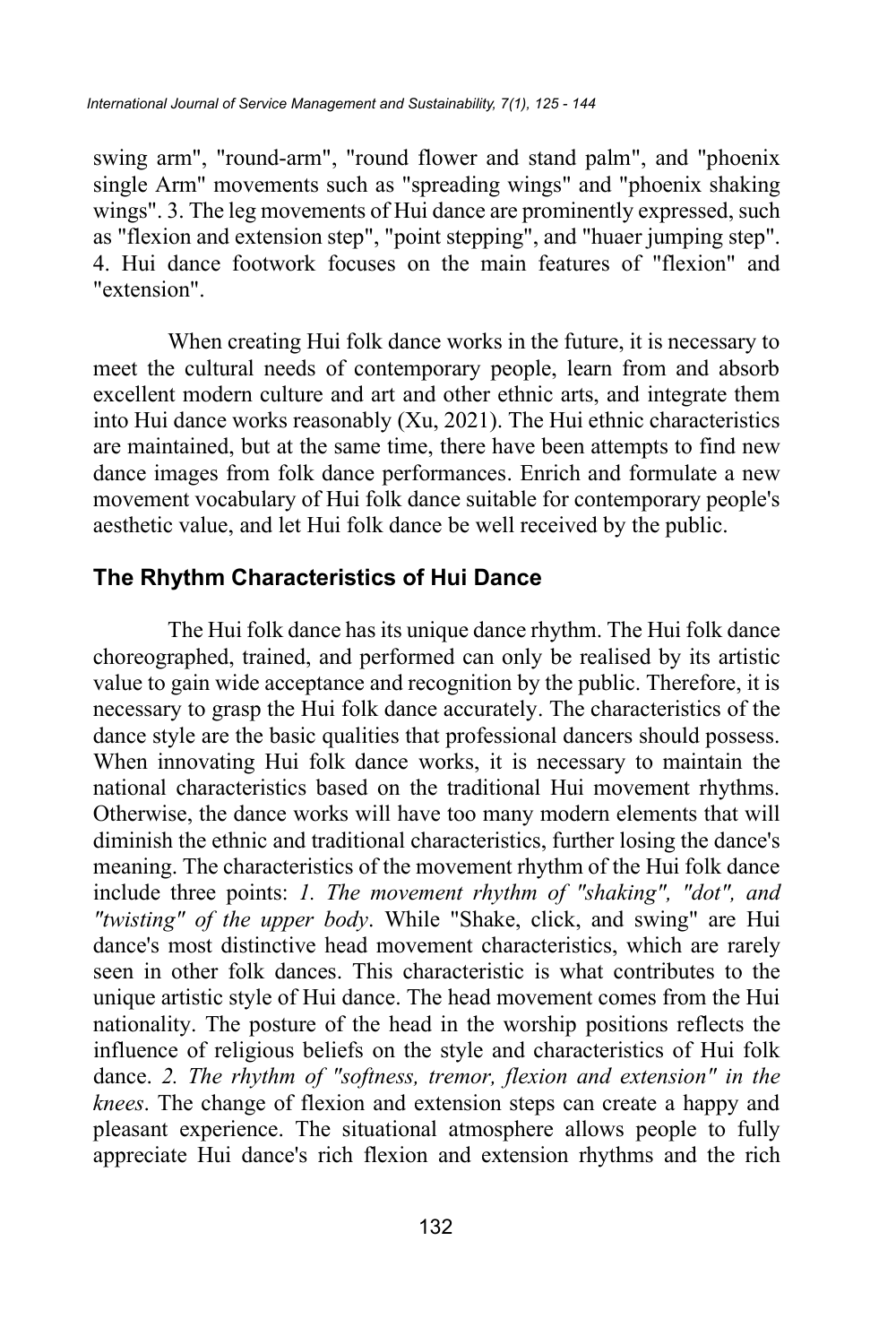swing arm", "round-arm", "round flower and stand palm", and "phoenix single Arm" movements such as "spreading wings" and "phoenix shaking wings". 3. The leg movements of Hui dance are prominently expressed, such as "flexion and extension step", "point stepping", and "huaer jumping step". 4. Hui dance footwork focuses on the main features of "flexion" and "extension".

When creating Hui folk dance works in the future, it is necessary to meet the cultural needs of contemporary people, learn from and absorb excellent modern culture and art and other ethnic arts, and integrate them into Hui dance works reasonably (Xu, 2021). The Hui ethnic characteristics are maintained, but at the same time, there have been attempts to find new dance images from folk dance performances. Enrich and formulate a new movement vocabulary of Hui folk dance suitable for contemporary people's aesthetic value, and let Hui folk dance be well received by the public.

### **The Rhythm Characteristics of Hui Dance**

The Hui folk dance has its unique dance rhythm. The Hui folk dance choreographed, trained, and performed can only be realised by its artistic value to gain wide acceptance and recognition by the public. Therefore, it is necessary to grasp the Hui folk dance accurately. The characteristics of the dance style are the basic qualities that professional dancers should possess. When innovating Hui folk dance works, it is necessary to maintain the national characteristics based on the traditional Hui movement rhythms. Otherwise, the dance works will have too many modern elements that will diminish the ethnic and traditional characteristics, further losing the dance's meaning. The characteristics of the movement rhythm of the Hui folk dance include three points: *1. The movement rhythm of "shaking", "dot", and "twisting" of the upper body*. While "Shake, click, and swing" are Hui dance's most distinctive head movement characteristics, which are rarely seen in other folk dances. This characteristic is what contributes to the unique artistic style of Hui dance. The head movement comes from the Hui nationality. The posture of the head in the worship positions reflects the influence of religious beliefs on the style and characteristics of Hui folk dance. *2. The rhythm of "softness, tremor, flexion and extension" in the knees*. The change of flexion and extension steps can create a happy and pleasant experience. The situational atmosphere allows people to fully appreciate Hui dance's rich flexion and extension rhythms and the rich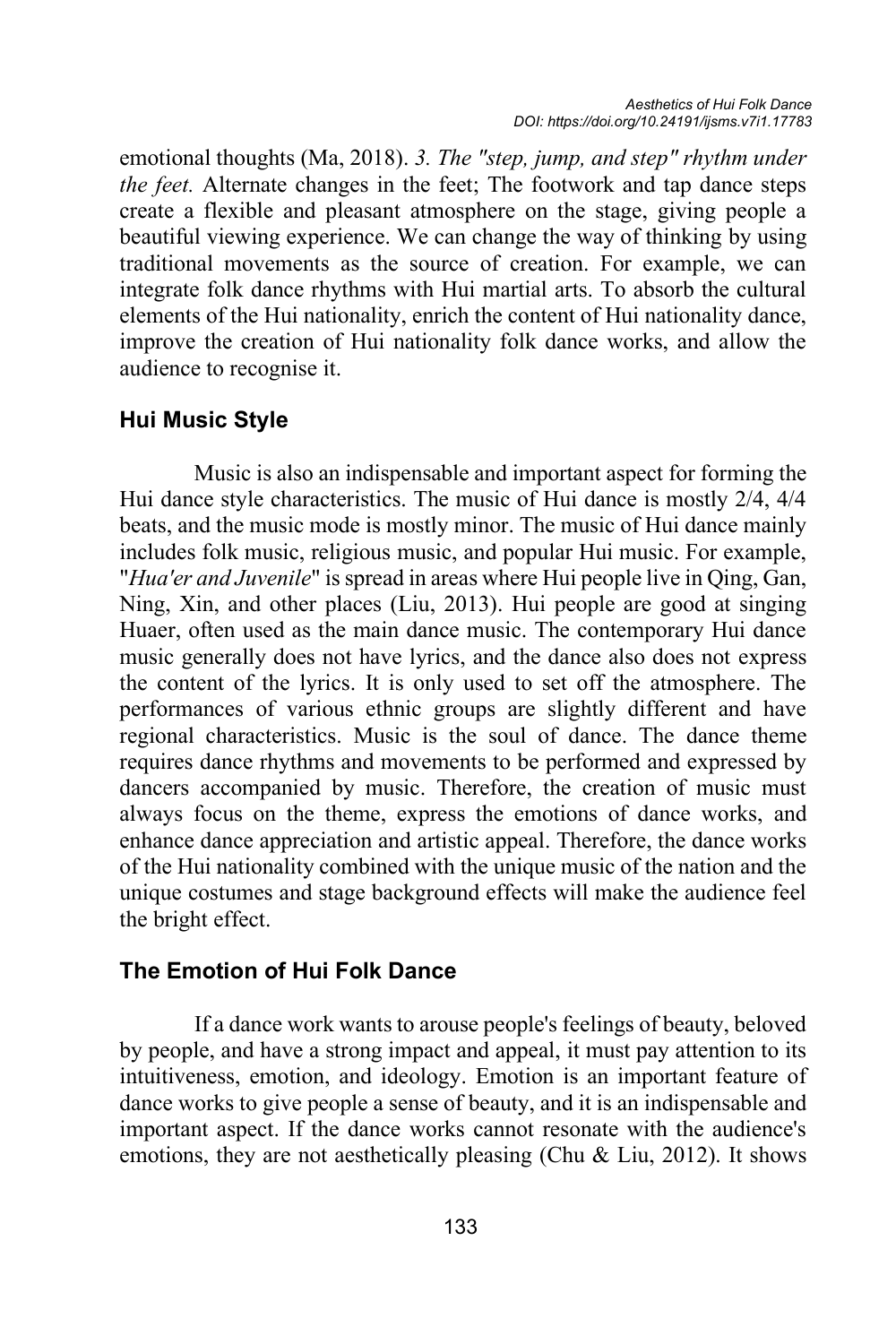emotional thoughts (Ma, 2018). *3. The "step, jump, and step" rhythm under the feet.* Alternate changes in the feet; The footwork and tap dance steps create a flexible and pleasant atmosphere on the stage, giving people a beautiful viewing experience. We can change the way of thinking by using traditional movements as the source of creation. For example, we can integrate folk dance rhythms with Hui martial arts. To absorb the cultural elements of the Hui nationality, enrich the content of Hui nationality dance, improve the creation of Hui nationality folk dance works, and allow the audience to recognise it.

### **Hui Music Style**

Music is also an indispensable and important aspect for forming the Hui dance style characteristics. The music of Hui dance is mostly 2/4, 4/4 beats, and the music mode is mostly minor. The music of Hui dance mainly includes folk music, religious music, and popular Hui music. For example, "*Hua'er and Juvenile*" is spread in areas where Hui people live in Qing, Gan, Ning, Xin, and other places (Liu, 2013). Hui people are good at singing Huaer, often used as the main dance music. The contemporary Hui dance music generally does not have lyrics, and the dance also does not express the content of the lyrics. It is only used to set off the atmosphere. The performances of various ethnic groups are slightly different and have regional characteristics. Music is the soul of dance. The dance theme requires dance rhythms and movements to be performed and expressed by dancers accompanied by music. Therefore, the creation of music must always focus on the theme, express the emotions of dance works, and enhance dance appreciation and artistic appeal. Therefore, the dance works of the Hui nationality combined with the unique music of the nation and the unique costumes and stage background effects will make the audience feel the bright effect.

### **The Emotion of Hui Folk Dance**

If a dance work wants to arouse people's feelings of beauty, beloved by people, and have a strong impact and appeal, it must pay attention to its intuitiveness, emotion, and ideology. Emotion is an important feature of dance works to give people a sense of beauty, and it is an indispensable and important aspect. If the dance works cannot resonate with the audience's emotions, they are not aesthetically pleasing (Chu & Liu, 2012). It shows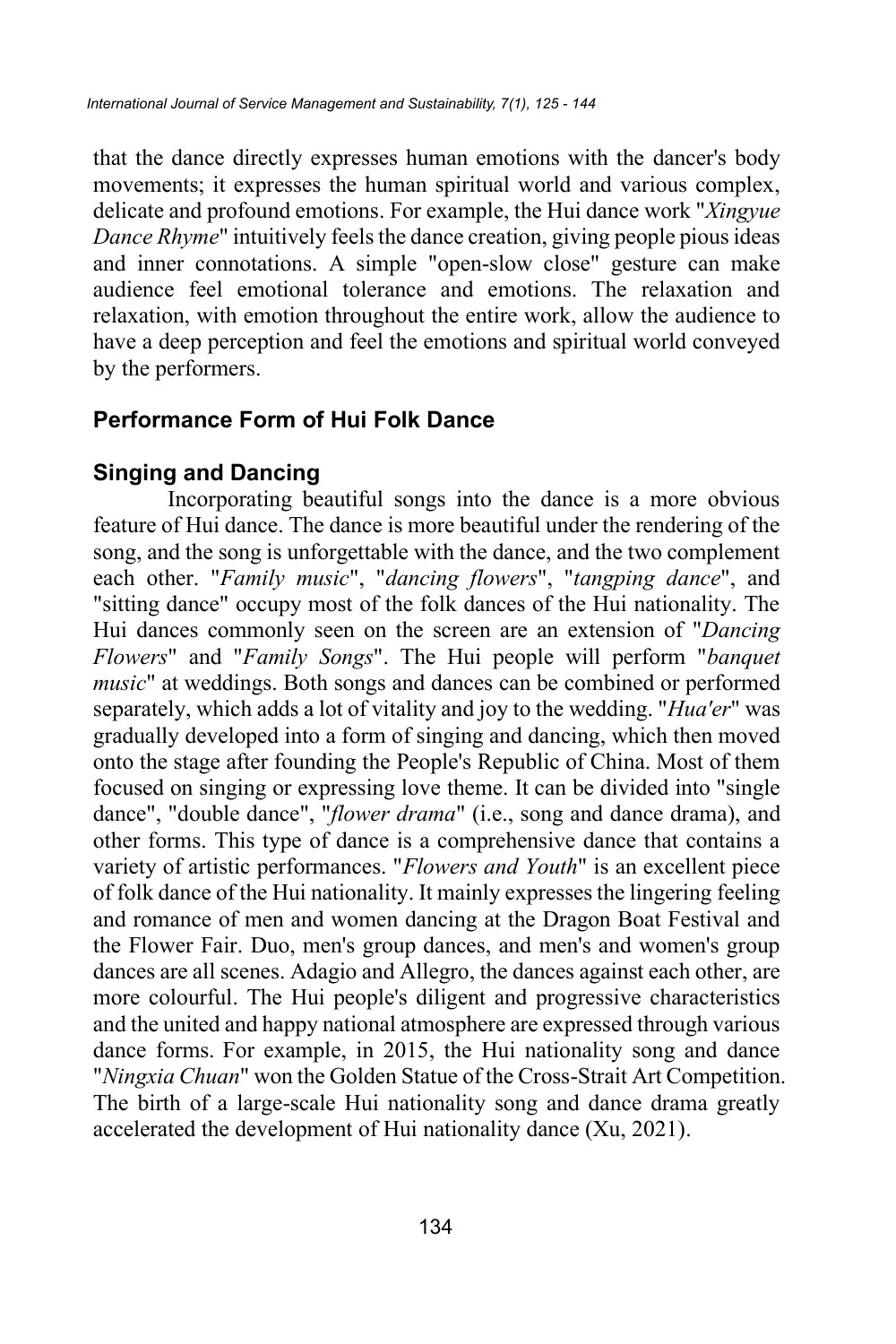that the dance directly expresses human emotions with the dancer's body movements; it expresses the human spiritual world and various complex, delicate and profound emotions. For example, the Hui dance work "*Xingyue Dance Rhyme*" intuitively feels the dance creation, giving people pious ideas and inner connotations. A simple "open-slow close" gesture can make audience feel emotional tolerance and emotions. The relaxation and relaxation, with emotion throughout the entire work, allow the audience to have a deep perception and feel the emotions and spiritual world conveyed by the performers.

## **Performance Form of Hui Folk Dance**

## **Singing and Dancing**

Incorporating beautiful songs into the dance is a more obvious feature of Hui dance. The dance is more beautiful under the rendering of the song, and the song is unforgettable with the dance, and the two complement each other. "*Family music*", "*dancing flowers*", "*tangping dance*", and "sitting dance" occupy most of the folk dances of the Hui nationality. The Hui dances commonly seen on the screen are an extension of "*Dancing Flowers*" and "*Family Songs*". The Hui people will perform "*banquet music*" at weddings. Both songs and dances can be combined or performed separately, which adds a lot of vitality and joy to the wedding. "*Hua'er*" was gradually developed into a form of singing and dancing, which then moved onto the stage after founding the People's Republic of China. Most of them focused on singing or expressing love theme. It can be divided into "single dance", "double dance", "*flower drama*" (i.e., song and dance drama), and other forms. This type of dance is a comprehensive dance that contains a variety of artistic performances. "*Flowers and Youth*" is an excellent piece of folk dance of the Hui nationality. It mainly expresses the lingering feeling and romance of men and women dancing at the Dragon Boat Festival and the Flower Fair. Duo, men's group dances, and men's and women's group dances are all scenes. Adagio and Allegro, the dances against each other, are more colourful. The Hui people's diligent and progressive characteristics and the united and happy national atmosphere are expressed through various dance forms. For example, in 2015, the Hui nationality song and dance "*Ningxia Chuan*" won the Golden Statue of the Cross-Strait Art Competition. The birth of a large-scale Hui nationality song and dance drama greatly accelerated the development of Hui nationality dance (Xu, 2021).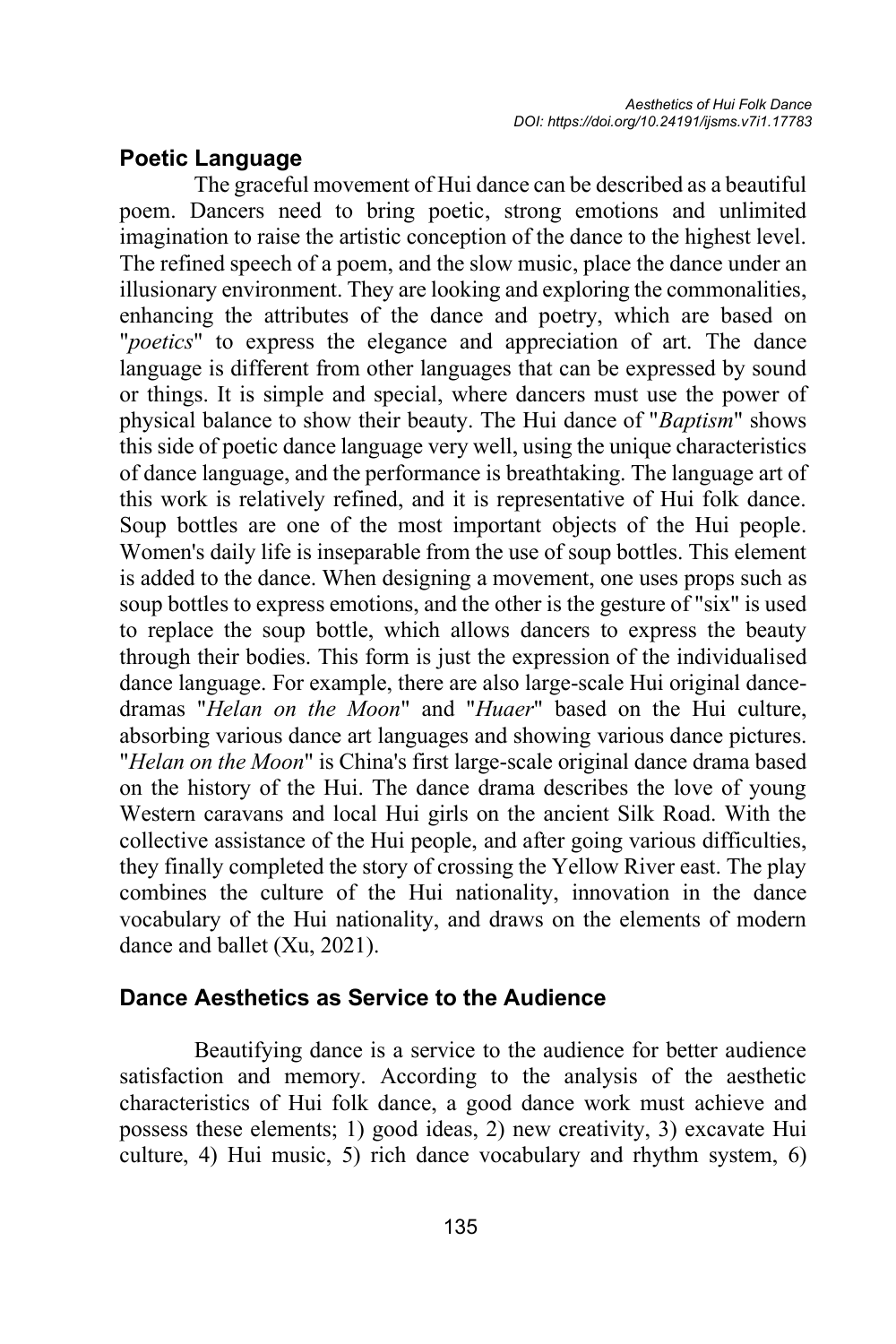### **Poetic Language**

The graceful movement of Hui dance can be described as a beautiful poem. Dancers need to bring poetic, strong emotions and unlimited imagination to raise the artistic conception of the dance to the highest level. The refined speech of a poem, and the slow music, place the dance under an illusionary environment. They are looking and exploring the commonalities, enhancing the attributes of the dance and poetry, which are based on "*poetics*" to express the elegance and appreciation of art. The dance language is different from other languages that can be expressed by sound or things. It is simple and special, where dancers must use the power of physical balance to show their beauty. The Hui dance of "*Baptism*" shows this side of poetic dance language very well, using the unique characteristics of dance language, and the performance is breathtaking. The language art of this work is relatively refined, and it is representative of Hui folk dance. Soup bottles are one of the most important objects of the Hui people. Women's daily life is inseparable from the use of soup bottles. This element is added to the dance. When designing a movement, one uses props such as soup bottles to express emotions, and the other is the gesture of "six" is used to replace the soup bottle, which allows dancers to express the beauty through their bodies. This form is just the expression of the individualised dance language. For example, there are also large-scale Hui original dancedramas "*Helan on the Moon*" and "*Huaer*" based on the Hui culture, absorbing various dance art languages and showing various dance pictures. "*Helan on the Moon*" is China's first large-scale original dance drama based on the history of the Hui. The dance drama describes the love of young Western caravans and local Hui girls on the ancient Silk Road. With the collective assistance of the Hui people, and after going various difficulties, they finally completed the story of crossing the Yellow River east. The play combines the culture of the Hui nationality, innovation in the dance vocabulary of the Hui nationality, and draws on the elements of modern dance and ballet (Xu, 2021).

### **Dance Aesthetics as Service to the Audience**

Beautifying dance is a service to the audience for better audience satisfaction and memory. According to the analysis of the aesthetic characteristics of Hui folk dance, a good dance work must achieve and possess these elements; 1) good ideas, 2) new creativity, 3) excavate Hui culture, 4) Hui music, 5) rich dance vocabulary and rhythm system, 6)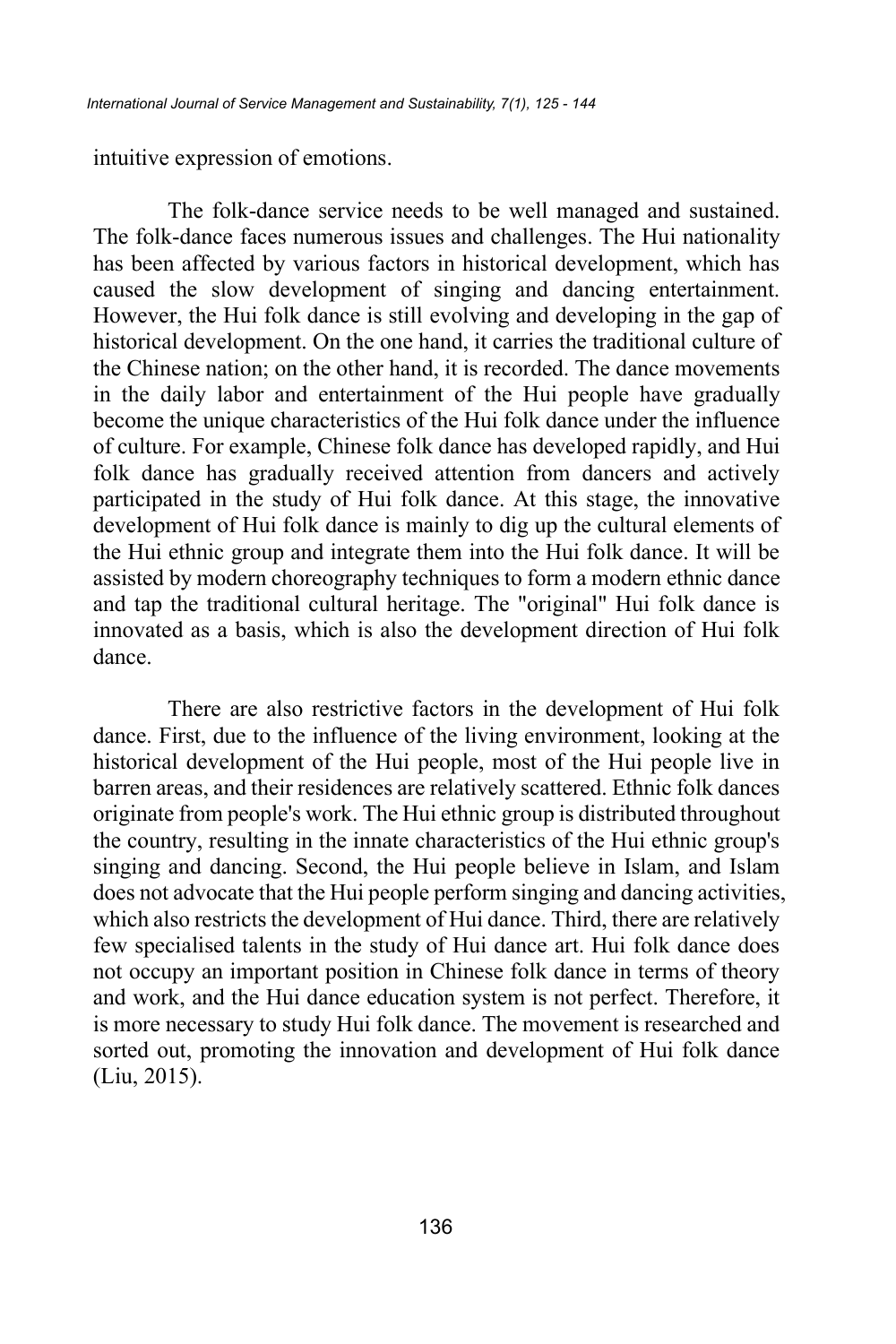intuitive expression of emotions.

The folk-dance service needs to be well managed and sustained. The folk-dance faces numerous issues and challenges. The Hui nationality has been affected by various factors in historical development, which has caused the slow development of singing and dancing entertainment. However, the Hui folk dance is still evolving and developing in the gap of historical development. On the one hand, it carries the traditional culture of the Chinese nation; on the other hand, it is recorded. The dance movements in the daily labor and entertainment of the Hui people have gradually become the unique characteristics of the Hui folk dance under the influence of culture. For example, Chinese folk dance has developed rapidly, and Hui folk dance has gradually received attention from dancers and actively participated in the study of Hui folk dance. At this stage, the innovative development of Hui folk dance is mainly to dig up the cultural elements of the Hui ethnic group and integrate them into the Hui folk dance. It will be assisted by modern choreography techniques to form a modern ethnic dance and tap the traditional cultural heritage. The "original" Hui folk dance is innovated as a basis, which is also the development direction of Hui folk dance.

There are also restrictive factors in the development of Hui folk dance. First, due to the influence of the living environment, looking at the historical development of the Hui people, most of the Hui people live in barren areas, and their residences are relatively scattered. Ethnic folk dances originate from people's work. The Hui ethnic group is distributed throughout the country, resulting in the innate characteristics of the Hui ethnic group's singing and dancing. Second, the Hui people believe in Islam, and Islam does not advocate that the Hui people perform singing and dancing activities, which also restricts the development of Hui dance. Third, there are relatively few specialised talents in the study of Hui dance art. Hui folk dance does not occupy an important position in Chinese folk dance in terms of theory and work, and the Hui dance education system is not perfect. Therefore, it is more necessary to study Hui folk dance. The movement is researched and sorted out, promoting the innovation and development of Hui folk dance (Liu, 2015).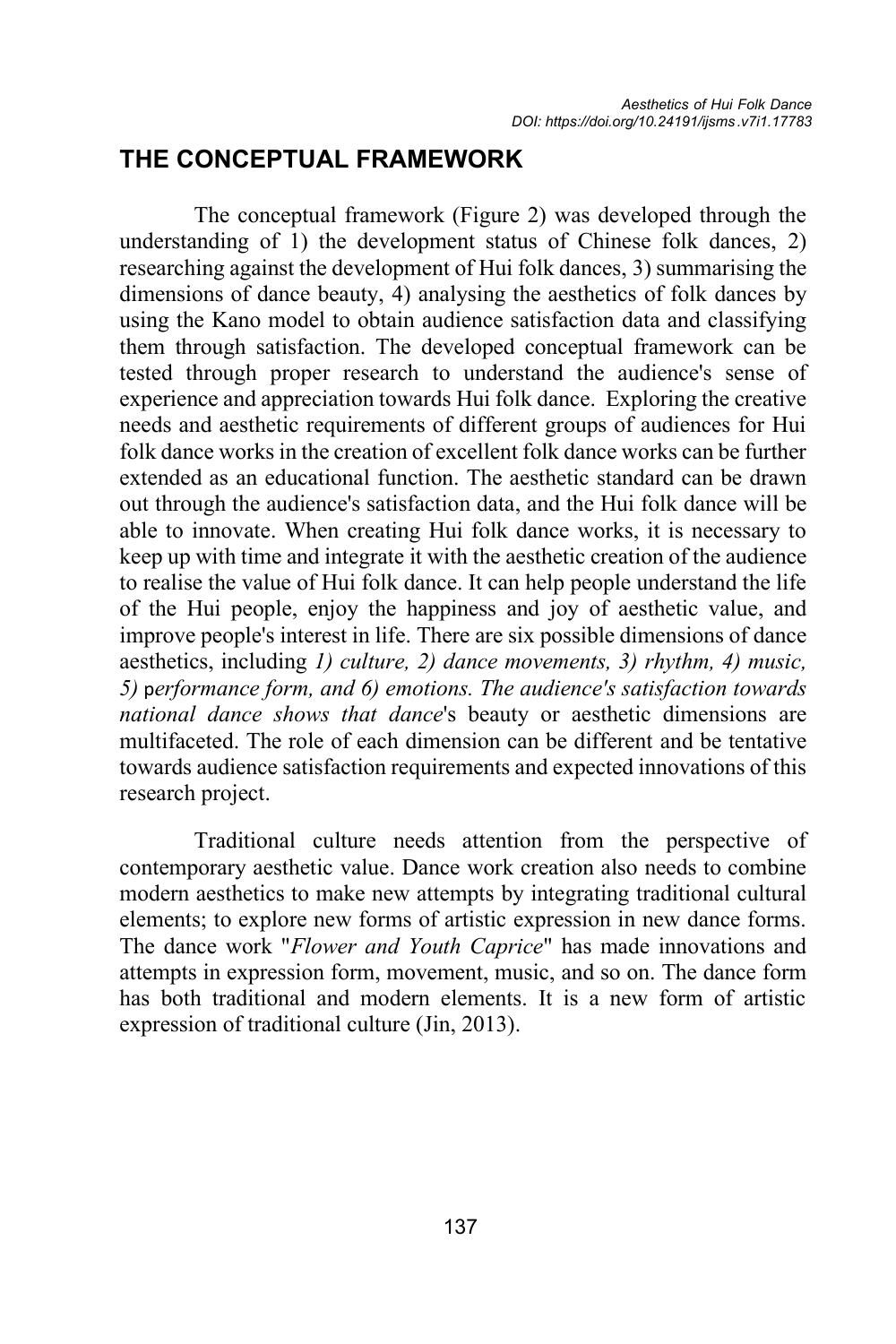## **THE CONCEPTUAL FRAMEWORK**

The conceptual framework (Figure 2) was developed through the understanding of 1) the development status of Chinese folk dances, 2) researching against the development of Hui folk dances, 3) summarising the dimensions of dance beauty, 4) analysing the aesthetics of folk dances by using the Kano model to obtain audience satisfaction data and classifying them through satisfaction. The developed conceptual framework can be tested through proper research to understand the audience's sense of experience and appreciation towards Hui folk dance. Exploring the creative needs and aesthetic requirements of different groups of audiences for Hui folk dance works in the creation of excellent folk dance works can be further extended as an educational function. The aesthetic standard can be drawn out through the audience's satisfaction data, and the Hui folk dance will be able to innovate. When creating Hui folk dance works, it is necessary to keep up with time and integrate it with the aesthetic creation of the audience to realise the value of Hui folk dance. It can help people understand the life of the Hui people, enjoy the happiness and joy of aesthetic value, and improve people's interest in life. There are six possible dimensions of dance aesthetics, including *1) culture, 2) dance movements, 3) rhythm, 4) music, 5)* p*erformance form, and 6) emotions. The audience's satisfaction towards national dance shows that dance*'s beauty or aesthetic dimensions are multifaceted. The role of each dimension can be different and be tentative towards audience satisfaction requirements and expected innovations of this research project.

Traditional culture needs attention from the perspective of contemporary aesthetic value. Dance work creation also needs to combine modern aesthetics to make new attempts by integrating traditional cultural elements; to explore new forms of artistic expression in new dance forms. The dance work "*Flower and Youth Caprice*" has made innovations and attempts in expression form, movement, music, and so on. The dance form has both traditional and modern elements. It is a new form of artistic expression of traditional culture (Jin, 2013).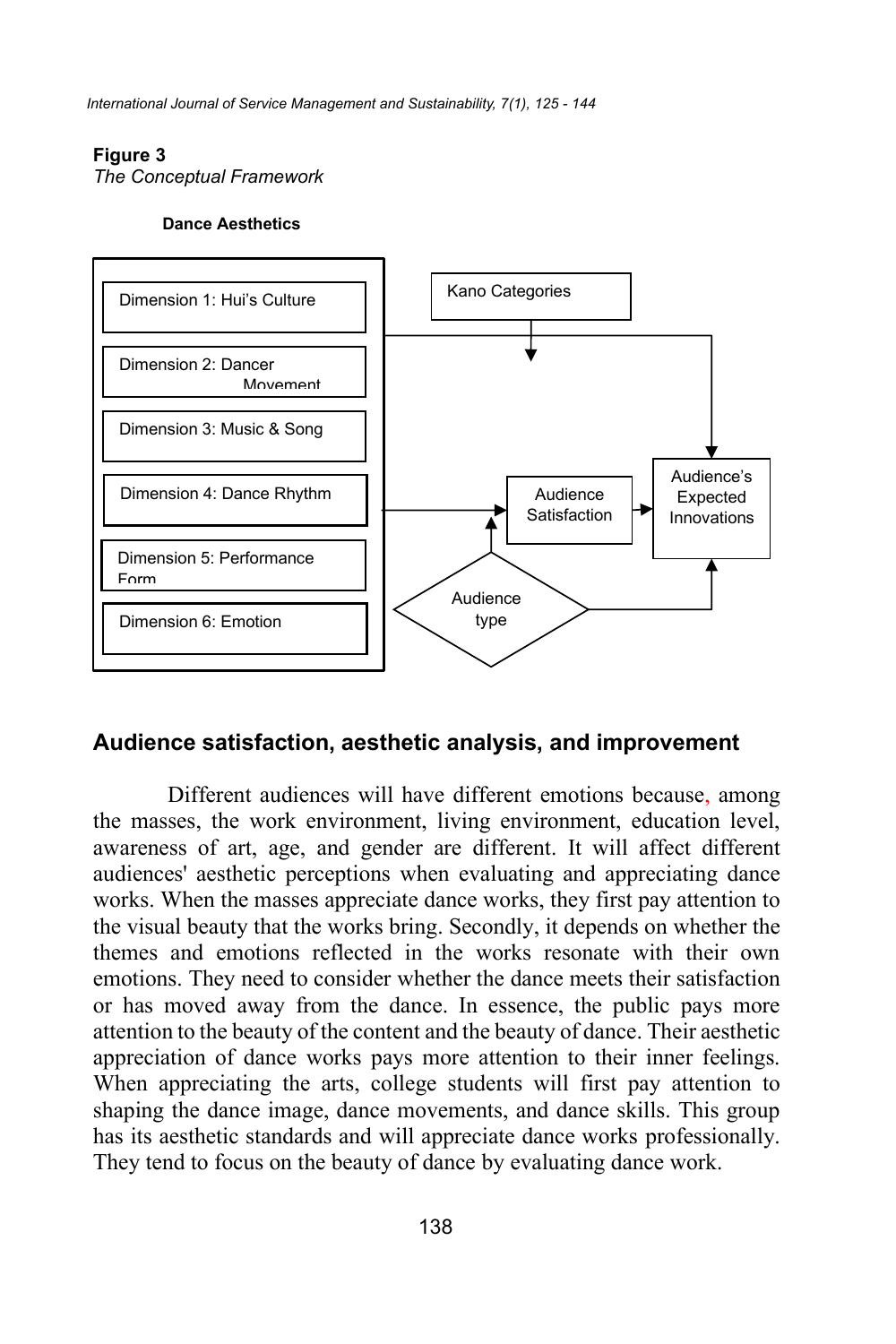*International Journal of Service Management and Sustainability, 7(1), 125 - 144*

#### **Figure 3**

*The Conceptual Framework*

#### **Dance Aesthetics**



### **Audience satisfaction, aesthetic analysis, and improvement**

Different audiences will have different emotions because, among the masses, the work environment, living environment, education level, awareness of art, age, and gender are different. It will affect different audiences' aesthetic perceptions when evaluating and appreciating dance works. When the masses appreciate dance works, they first pay attention to the visual beauty that the works bring. Secondly, it depends on whether the themes and emotions reflected in the works resonate with their own emotions. They need to consider whether the dance meets their satisfaction or has moved away from the dance. In essence, the public pays more attention to the beauty of the content and the beauty of dance. Their aesthetic appreciation of dance works pays more attention to their inner feelings. When appreciating the arts, college students will first pay attention to shaping the dance image, dance movements, and dance skills. This group has its aesthetic standards and will appreciate dance works professionally. They tend to focus on the beauty of dance by evaluating dance work.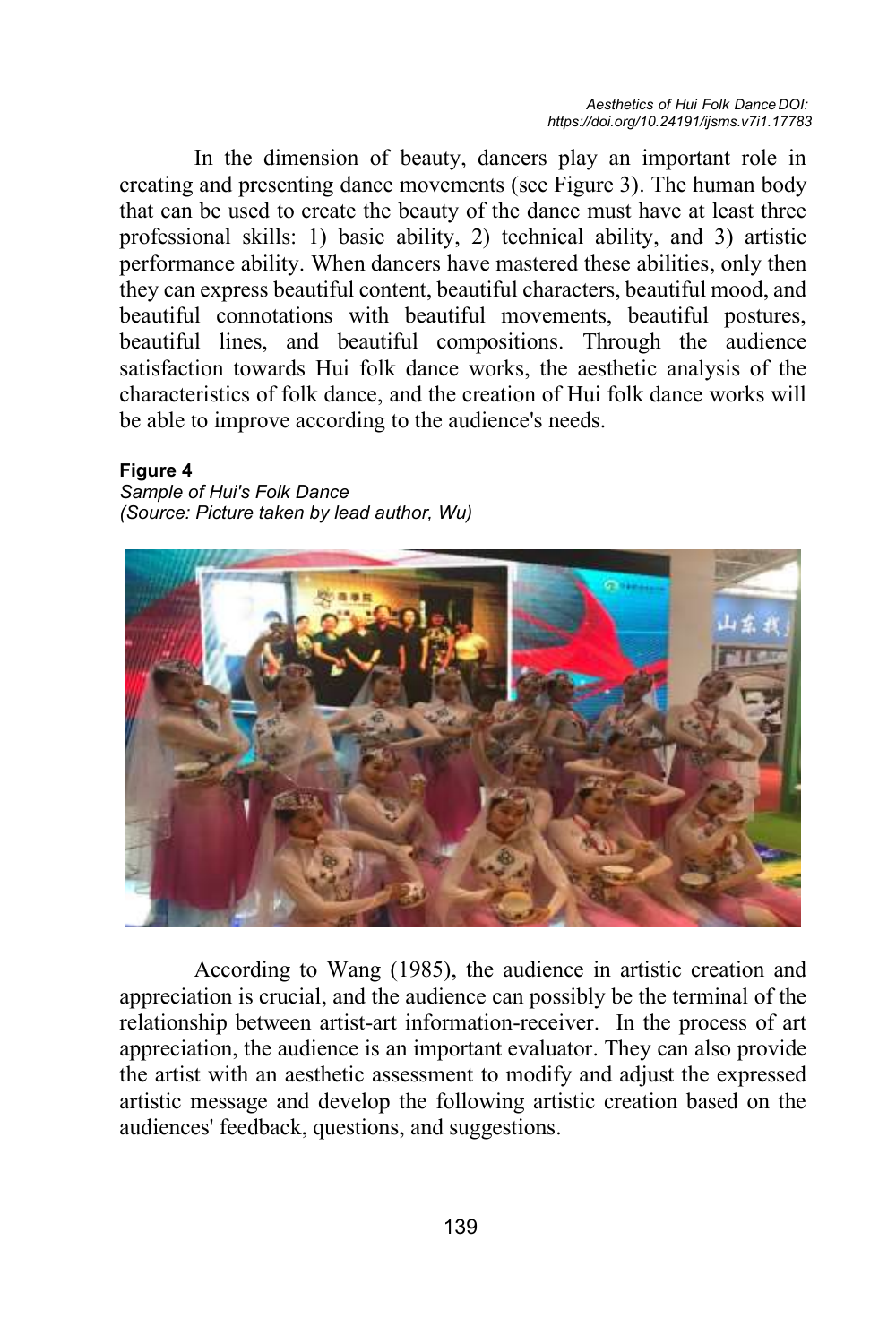In the dimension of beauty, dancers play an important role in creating and presenting dance movements (see Figure 3). The human body that can be used to create the beauty of the dance must have at least three professional skills: 1) basic ability, 2) technical ability, and 3) artistic performance ability. When dancers have mastered these abilities, only then they can express beautiful content, beautiful characters, beautiful mood, and beautiful connotations with beautiful movements, beautiful postures, beautiful lines, and beautiful compositions. Through the audience satisfaction towards Hui folk dance works, the aesthetic analysis of the characteristics of folk dance, and the creation of Hui folk dance works will be able to improve according to the audience's needs.

#### **Figure 4**

*Sample of Hui's Folk Dance (Source: Picture taken by lead author, Wu)*



According to Wang (1985), the audience in artistic creation and appreciation is crucial, and the audience can possibly be the terminal of the relationship between artist-art information-receiver. In the process of art appreciation, the audience is an important evaluator. They can also provide the artist with an aesthetic assessment to modify and adjust the expressed artistic message and develop the following artistic creation based on the audiences' feedback, questions, and suggestions.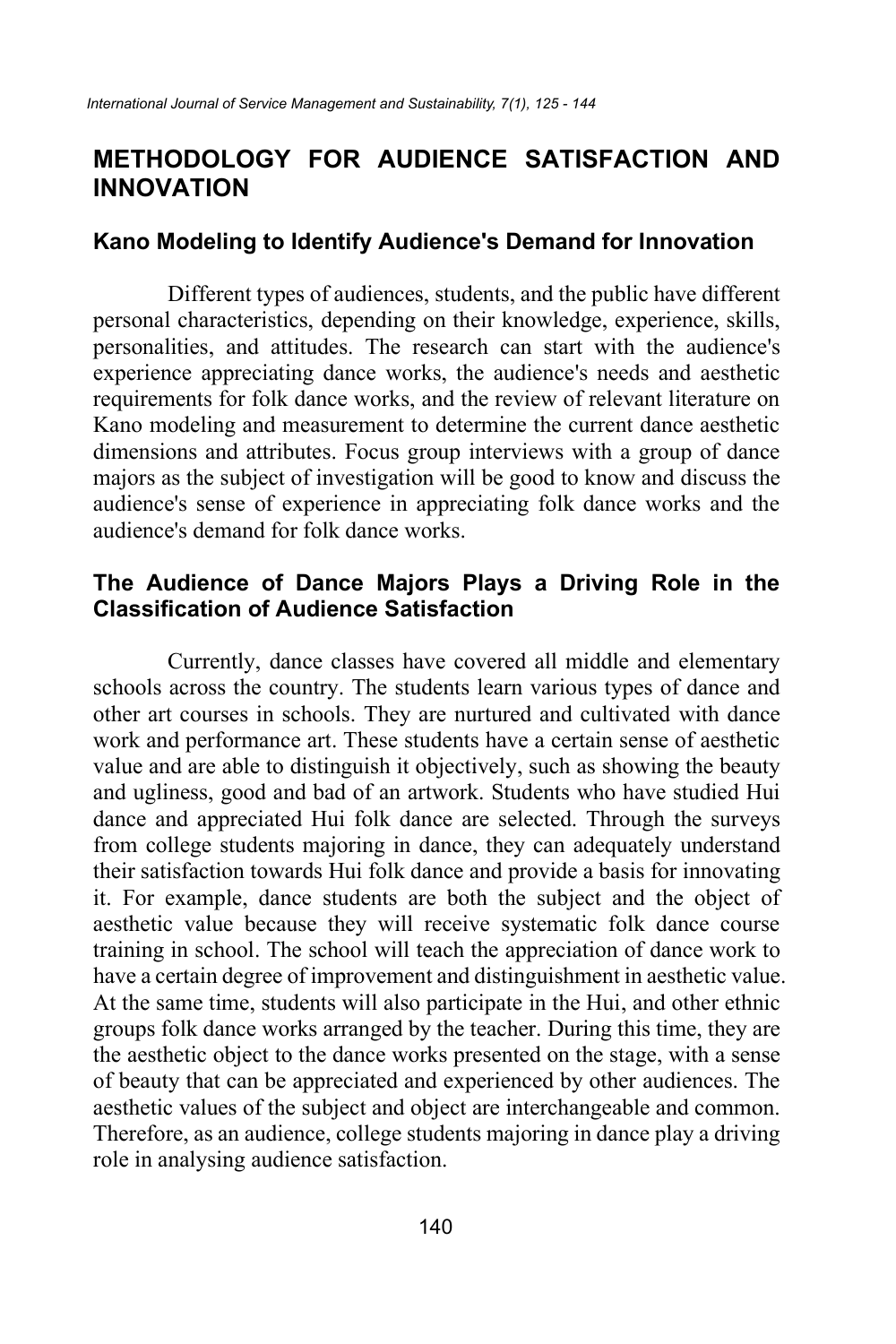## **METHODOLOGY FOR AUDIENCE SATISFACTION AND INNOVATION**

### **Kano Modeling to Identify Audience's Demand for Innovation**

Different types of audiences, students, and the public have different personal characteristics, depending on their knowledge, experience, skills, personalities, and attitudes. The research can start with the audience's experience appreciating dance works, the audience's needs and aesthetic requirements for folk dance works, and the review of relevant literature on Kano modeling and measurement to determine the current dance aesthetic dimensions and attributes. Focus group interviews with a group of dance majors as the subject of investigation will be good to know and discuss the audience's sense of experience in appreciating folk dance works and the audience's demand for folk dance works.

## **The Audience of Dance Majors Plays a Driving Role in the Classification of Audience Satisfaction**

Currently, dance classes have covered all middle and elementary schools across the country. The students learn various types of dance and other art courses in schools. They are nurtured and cultivated with dance work and performance art. These students have a certain sense of aesthetic value and are able to distinguish it objectively, such as showing the beauty and ugliness, good and bad of an artwork. Students who have studied Hui dance and appreciated Hui folk dance are selected. Through the surveys from college students majoring in dance, they can adequately understand their satisfaction towards Hui folk dance and provide a basis for innovating it. For example, dance students are both the subject and the object of aesthetic value because they will receive systematic folk dance course training in school. The school will teach the appreciation of dance work to have a certain degree of improvement and distinguishment in aesthetic value. At the same time, students will also participate in the Hui, and other ethnic groups folk dance works arranged by the teacher. During this time, they are the aesthetic object to the dance works presented on the stage, with a sense of beauty that can be appreciated and experienced by other audiences. The aesthetic values of the subject and object are interchangeable and common. Therefore, as an audience, college students majoring in dance play a driving role in analysing audience satisfaction.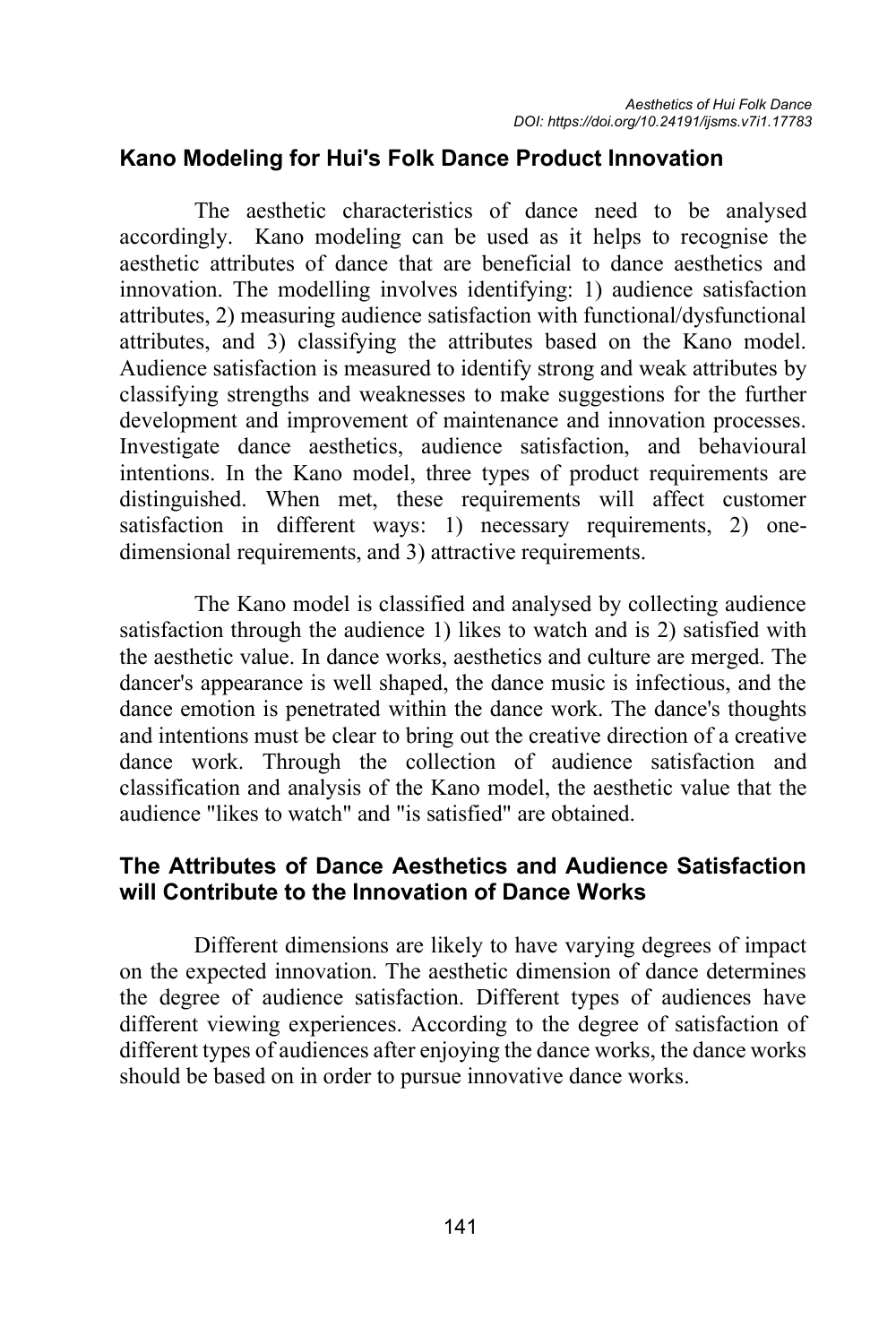## **Kano Modeling for Hui's Folk Dance Product Innovation**

The aesthetic characteristics of dance need to be analysed accordingly. Kano modeling can be used as it helps to recognise the aesthetic attributes of dance that are beneficial to dance aesthetics and innovation. The modelling involves identifying: 1) audience satisfaction attributes, 2) measuring audience satisfaction with functional/dysfunctional attributes, and 3) classifying the attributes based on the Kano model. Audience satisfaction is measured to identify strong and weak attributes by classifying strengths and weaknesses to make suggestions for the further development and improvement of maintenance and innovation processes. Investigate dance aesthetics, audience satisfaction, and behavioural intentions. In the Kano model, three types of product requirements are distinguished. When met, these requirements will affect customer satisfaction in different ways: 1) necessary requirements, 2) onedimensional requirements, and 3) attractive requirements.

The Kano model is classified and analysed by collecting audience satisfaction through the audience 1) likes to watch and is 2) satisfied with the aesthetic value. In dance works, aesthetics and culture are merged. The dancer's appearance is well shaped, the dance music is infectious, and the dance emotion is penetrated within the dance work. The dance's thoughts and intentions must be clear to bring out the creative direction of a creative dance work. Through the collection of audience satisfaction and classification and analysis of the Kano model, the aesthetic value that the audience "likes to watch" and "is satisfied" are obtained.

## **The Attributes of Dance Aesthetics and Audience Satisfaction will Contribute to the Innovation of Dance Works**

Different dimensions are likely to have varying degrees of impact on the expected innovation. The aesthetic dimension of dance determines the degree of audience satisfaction. Different types of audiences have different viewing experiences. According to the degree of satisfaction of different types of audiences after enjoying the dance works, the dance works should be based on in order to pursue innovative dance works.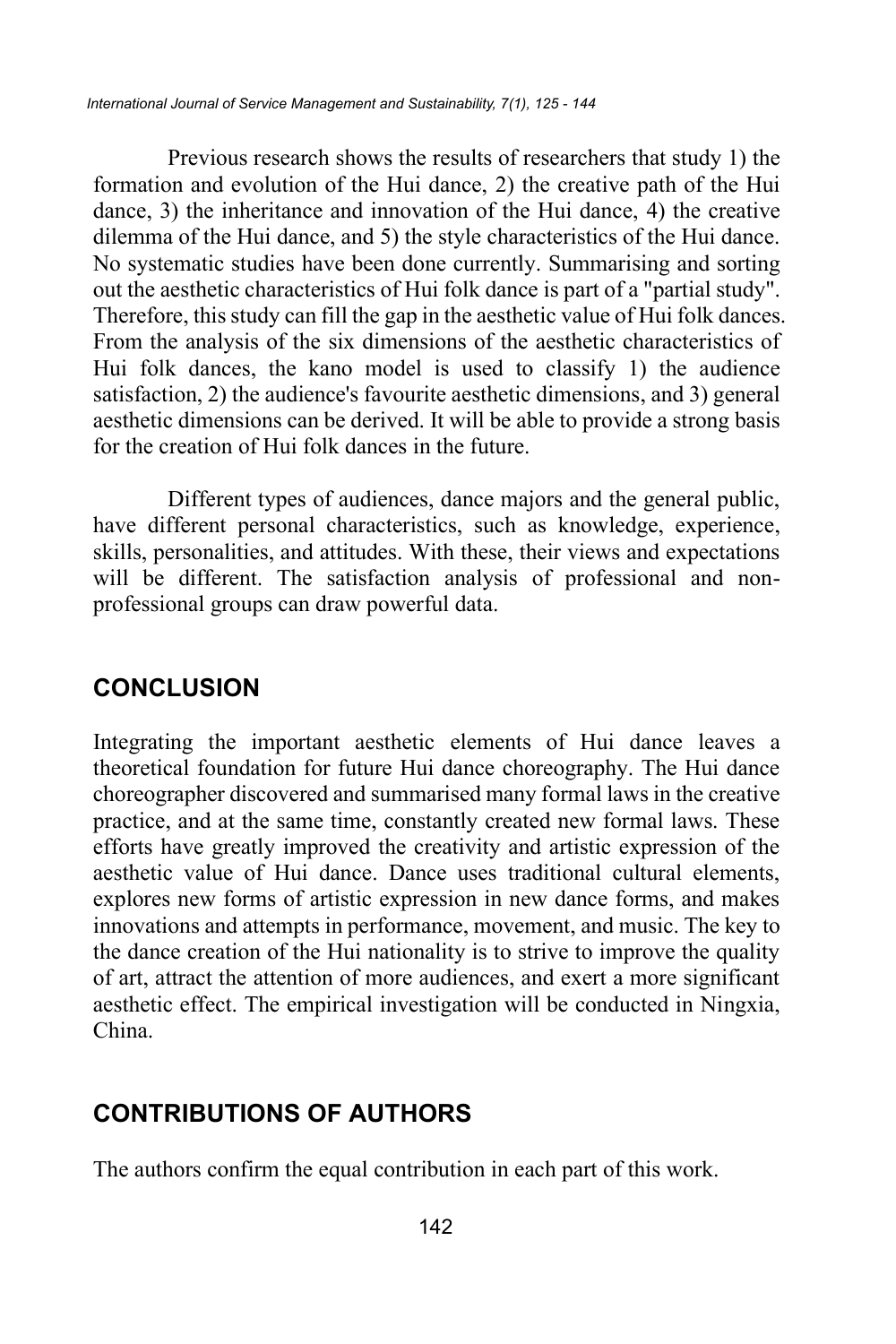Previous research shows the results of researchers that study 1) the formation and evolution of the Hui dance, 2) the creative path of the Hui dance, 3) the inheritance and innovation of the Hui dance, 4) the creative dilemma of the Hui dance, and 5) the style characteristics of the Hui dance. No systematic studies have been done currently. Summarising and sorting out the aesthetic characteristics of Hui folk dance is part of a "partial study". Therefore, this study can fill the gap in the aesthetic value of Hui folk dances. From the analysis of the six dimensions of the aesthetic characteristics of Hui folk dances, the kano model is used to classify 1) the audience satisfaction, 2) the audience's favourite aesthetic dimensions, and 3) general aesthetic dimensions can be derived. It will be able to provide a strong basis for the creation of Hui folk dances in the future.

Different types of audiences, dance majors and the general public, have different personal characteristics, such as knowledge, experience, skills, personalities, and attitudes. With these, their views and expectations will be different. The satisfaction analysis of professional and nonprofessional groups can draw powerful data.

## **CONCLUSION**

Integrating the important aesthetic elements of Hui dance leaves a theoretical foundation for future Hui dance choreography. The Hui dance choreographer discovered and summarised many formal laws in the creative practice, and at the same time, constantly created new formal laws. These efforts have greatly improved the creativity and artistic expression of the aesthetic value of Hui dance. Dance uses traditional cultural elements, explores new forms of artistic expression in new dance forms, and makes innovations and attempts in performance, movement, and music. The key to the dance creation of the Hui nationality is to strive to improve the quality of art, attract the attention of more audiences, and exert a more significant aesthetic effect. The empirical investigation will be conducted in Ningxia, China.

# **CONTRIBUTIONS OF AUTHORS**

The authors confirm the equal contribution in each part of this work.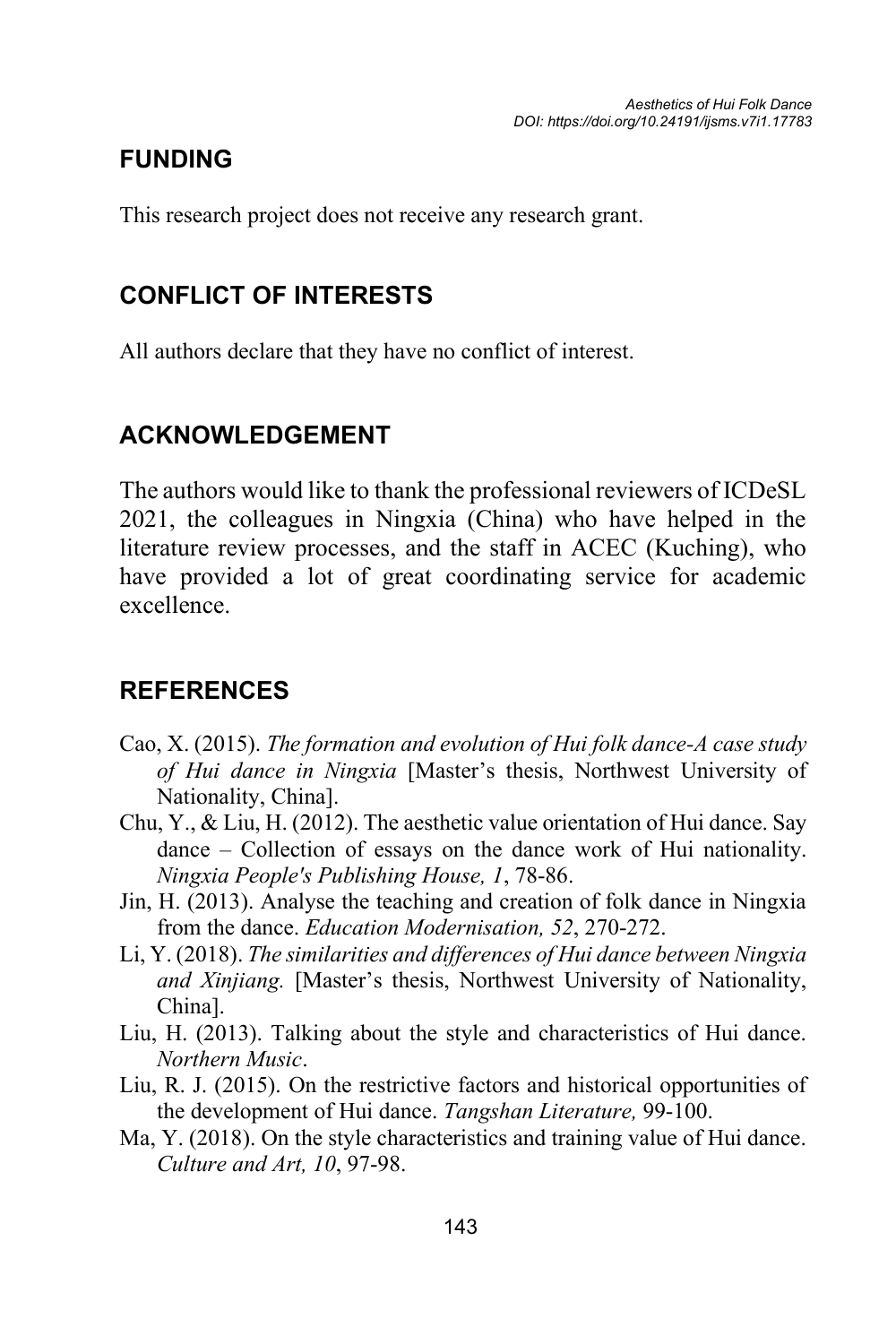# **FUNDING**

This research project does not receive any research grant.

# **CONFLICT OF INTERESTS**

All authors declare that they have no conflict of interest.

# **ACKNOWLEDGEMENT**

The authors would like to thank the professional reviewers of ICDeSL 2021, the colleagues in Ningxia (China) who have helped in the literature review processes, and the staff in ACEC (Kuching), who have provided a lot of great coordinating service for academic excellence.

# **REFERENCES**

- Cao, X. (2015). *The formation and evolution of Hui folk dance-A case study of Hui dance in Ningxia* [Master's thesis, Northwest University of Nationality, China].
- Chu, Y., & Liu, H. (2012). The aesthetic value orientation of Hui dance. Say dance – Collection of essays on the dance work of Hui nationality. *Ningxia People's Publishing House, 1*, 78-86.
- Jin, H. (2013). Analyse the teaching and creation of folk dance in Ningxia from the dance. *Education Modernisation, 52*, 270-272.
- Li, Y. (2018). *The similarities and differences of Hui dance between Ningxia and Xinjiang.* [Master's thesis, Northwest University of Nationality, China].
- Liu, H. (2013). Talking about the style and characteristics of Hui dance. *Northern Music*.
- Liu, R. J. (2015). On the restrictive factors and historical opportunities of the development of Hui dance. *Tangshan Literature,* 99-100.
- Ma, Y. (2018). On the style characteristics and training value of Hui dance. *Culture and Art, 10*, 97-98.